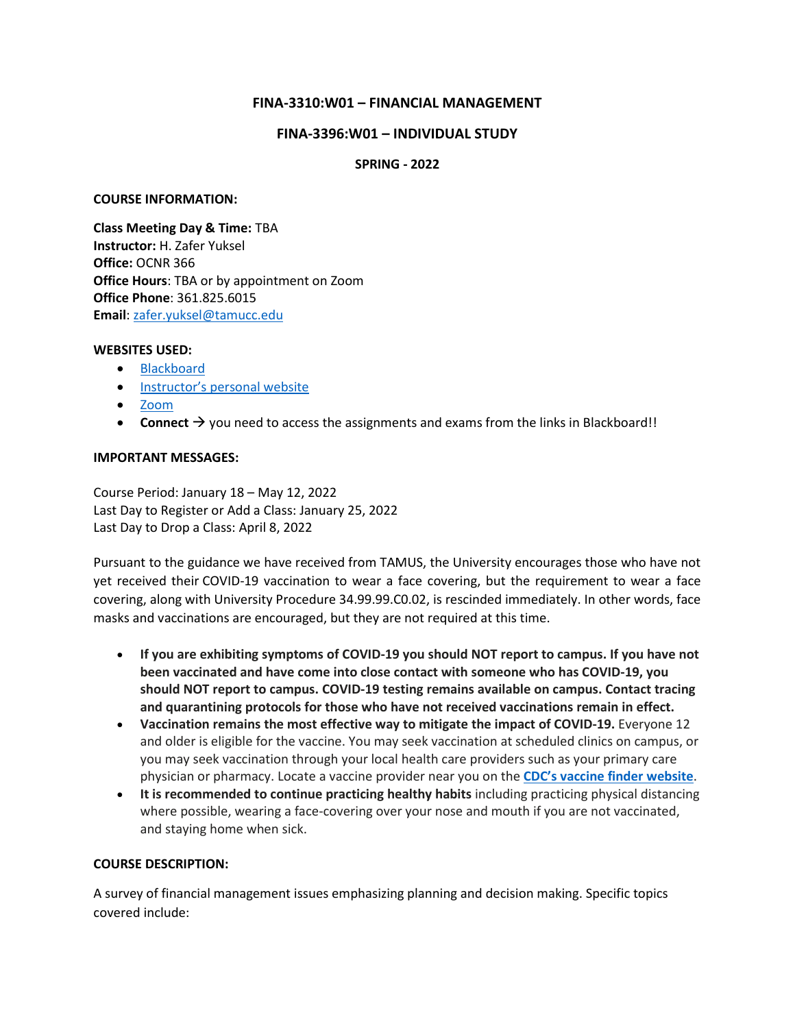# **FINA-3310:W01 – FINANCIAL MANAGEMENT**

#### **FINA-3396:W01 – INDIVIDUAL STUDY**

#### **SPRING - 2022**

#### **COURSE INFORMATION:**

**Class Meeting Day & Time:** TBA **Instructor:** H. Zafer Yuksel **Office:** OCNR 366 **Office Hours**: TBA or by appointment on Zoom **Office Phone**: 361.825.6015 **Email**[: zafer.yuksel@tamucc.edu](mailto:zafer.yuksel@tamucc.edu)

#### **WEBSITES USED:**

- [Blackboard](https://bb9.tamucc.edu/)
- Ins[tructor's personal website](http://www.zaferyuksel.com/)
- [Zoom](https://tamucc.webex.com/)
- **Connect**  $\rightarrow$  you need to access the assignments and exams from the links in Blackboard!!

#### **IMPORTANT MESSAGES:**

Course Period: January 18 – May 12, 2022 Last Day to Register or Add a Class: January 25, 2022 Last Day to Drop a Class: April 8, 2022

Pursuant to the guidance we have received from TAMUS, the University encourages those who have not yet received their COVID-19 vaccination to wear a face covering, but the requirement to wear a face covering, along with University Procedure 34.99.99.C0.02, is rescinded immediately. In other words, face masks and vaccinations are encouraged, but they are not required at this time.

- **If you are exhibiting symptoms of COVID-19 you should NOT report to campus. If you have not been vaccinated and have come into close contact with someone who has COVID-19, you should NOT report to campus. COVID-19 testing remains available on campus. Contact tracing and quarantining protocols for those who have not received vaccinations remain in effect.**
- **Vaccination remains the most effective way to mitigate the impact of COVID-19.** Everyone 12 and older is eligible for the vaccine. You may seek vaccination at scheduled clinics on campus, or you may seek vaccination through your local health care providers such as your primary care physician or pharmacy. Locate a vaccine provider near you on the **CDC's vaccine finder [website](https://nam12.safelinks.protection.outlook.com/?url=https%3A%2F%2Fwww.vaccines.gov%2Fsearch%2F&data=04%7C01%7CZafer.Yuksel%40tamucc.edu%7C1e6c2efae45841da652f08d93a51172f%7C34cbfaf167a64781a9ca514eb2550b66%7C0%7C0%7C637604942224961914%7CUnknown%7CTWFpbGZsb3d8eyJWIjoiMC4wLjAwMDAiLCJQIjoiV2luMzIiLCJBTiI6Ik1haWwiLCJXVCI6Mn0%3D%7C1000&sdata=CaTFvKs%2B1diE4EdjmRMKYrShe4BoGtW6fX0qx228awk%3D&reserved=0)**.
- **It is recommended to continue practicing healthy habits** including practicing physical distancing where possible, wearing a face-covering over your nose and mouth if you are not vaccinated, and staying home when sick.

# **COURSE DESCRIPTION:**

A survey of financial management issues emphasizing planning and decision making. Specific topics covered include: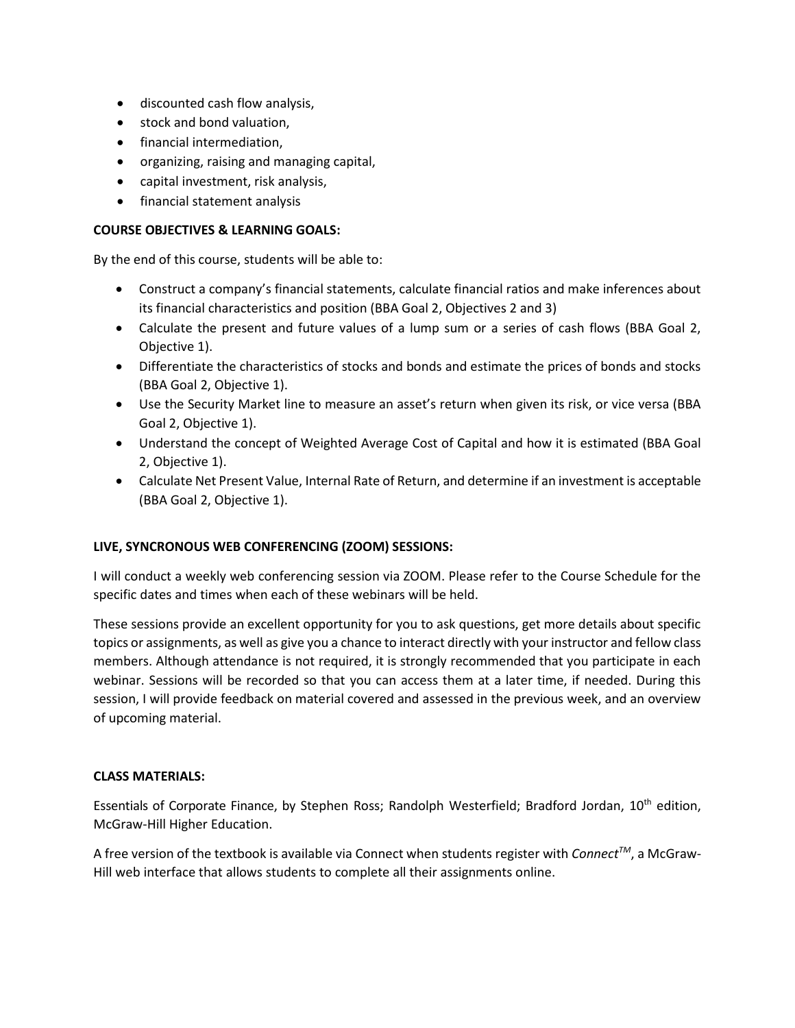- discounted cash flow analysis,
- stock and bond valuation,
- financial intermediation,
- organizing, raising and managing capital,
- capital investment, risk analysis,
- financial statement analysis

#### **COURSE OBJECTIVES & LEARNING GOALS:**

By the end of this course, students will be able to:

- Construct a company's financial statements, calculate financial ratios and make inferences about its financial characteristics and position (BBA Goal 2, Objectives 2 and 3)
- Calculate the present and future values of a lump sum or a series of cash flows (BBA Goal 2, Objective 1).
- Differentiate the characteristics of stocks and bonds and estimate the prices of bonds and stocks (BBA Goal 2, Objective 1).
- Use the Security Market line to measure an asset's return when given its risk, or vice versa (BBA Goal 2, Objective 1).
- Understand the concept of Weighted Average Cost of Capital and how it is estimated (BBA Goal 2, Objective 1).
- Calculate Net Present Value, Internal Rate of Return, and determine if an investment is acceptable (BBA Goal 2, Objective 1).

# **LIVE, SYNCRONOUS WEB CONFERENCING (ZOOM) SESSIONS:**

I will conduct a weekly web conferencing session via ZOOM. Please refer to the Course Schedule for the specific dates and times when each of these webinars will be held.

These sessions provide an excellent opportunity for you to ask questions, get more details about specific topics or assignments, as well as give you a chance to interact directly with your instructor and fellow class members. Although attendance is not required, it is strongly recommended that you participate in each webinar. Sessions will be recorded so that you can access them at a later time, if needed. During this session, I will provide feedback on material covered and assessed in the previous week, and an overview of upcoming material.

#### **CLASS MATERIALS:**

Essentials of Corporate Finance, by Stephen Ross; Randolph Westerfield; Bradford Jordan, 10th edition, McGraw-Hill Higher Education.

A free version of the textbook is available via Connect when students register with *ConnectTM*, a McGraw-Hill web interface that allows students to complete all their assignments online.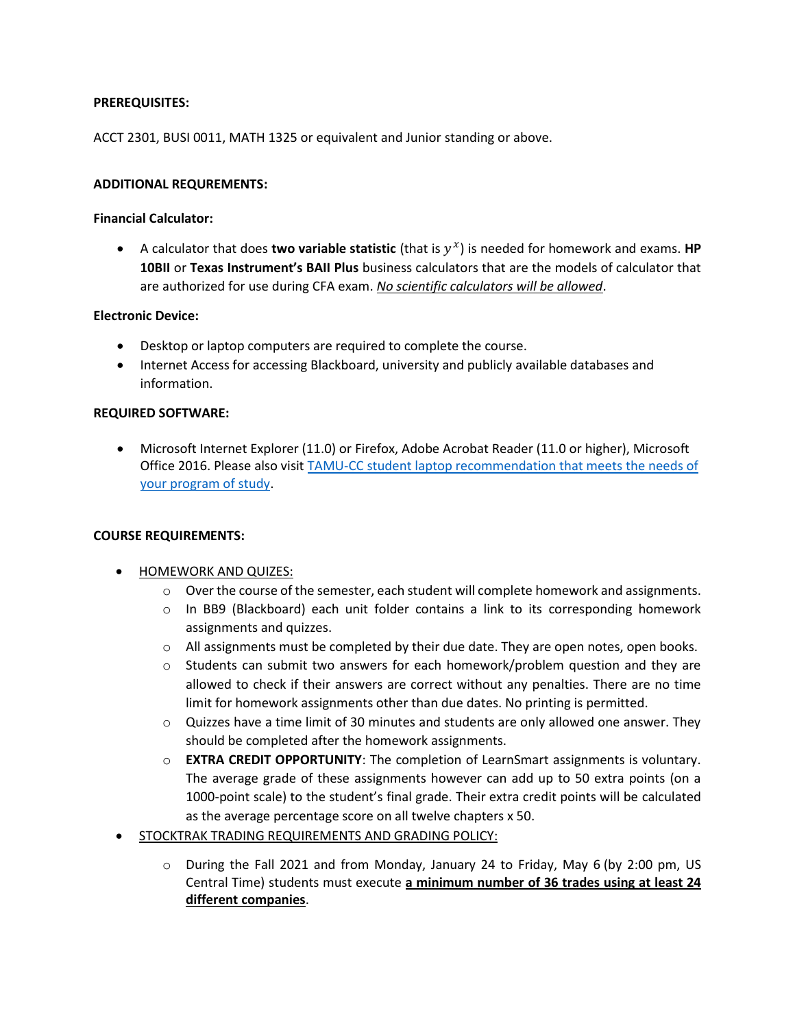# **PREREQUISITES:**

ACCT 2301, BUSI 0011, MATH 1325 or equivalent and Junior standing or above.

# **ADDITIONAL REQUREMENTS:**

#### **Financial Calculator:**

• A calculator that does **two variable statistic** (that is  $y^x$ ) is needed for homework and exams. **HP 10BII** or **Texas Instrument's BAII Plus** business calculators that are the models of calculator that are authorized for use during CFA exam. *No scientific calculators will be allowed*.

#### **Electronic Device:**

- Desktop or laptop computers are required to complete the course.
- Internet Access for accessing Blackboard, university and publicly available databases and information.

#### **REQUIRED SOFTWARE:**

• Microsoft Internet Explorer (11.0) or Firefox, Adobe Acrobat Reader (11.0 or higher), Microsoft Office 2016. Please also visit **TAMU-CC** student laptop recommendation that meets the needs of [your program of study.](https://it.tamucc.edu/getstarted/studentlaptoprecommendations.html)

# **COURSE REQUIREMENTS:**

- HOMEWORK AND QUIZES:
	- $\circ$  Over the course of the semester, each student will complete homework and assignments.
	- $\circ$  In BB9 (Blackboard) each unit folder contains a link to its corresponding homework assignments and quizzes.
	- $\circ$  All assignments must be completed by their due date. They are open notes, open books.
	- o Students can submit two answers for each homework/problem question and they are allowed to check if their answers are correct without any penalties. There are no time limit for homework assignments other than due dates. No printing is permitted.
	- $\circ$  Quizzes have a time limit of 30 minutes and students are only allowed one answer. They should be completed after the homework assignments.
	- o **EXTRA CREDIT OPPORTUNITY**: The completion of LearnSmart assignments is voluntary. The average grade of these assignments however can add up to 50 extra points (on a 1000-point scale) to the student's final grade. Their extra credit points will be calculated as the average percentage score on all twelve chapters x 50.
- STOCKTRAK TRADING REQUIREMENTS AND GRADING POLICY:
	- o During the Fall 2021 and from Monday, January 24 to Friday, May 6 (by 2:00 pm, US Central Time) students must execute **a minimum number of 36 trades using at least 24 different companies**.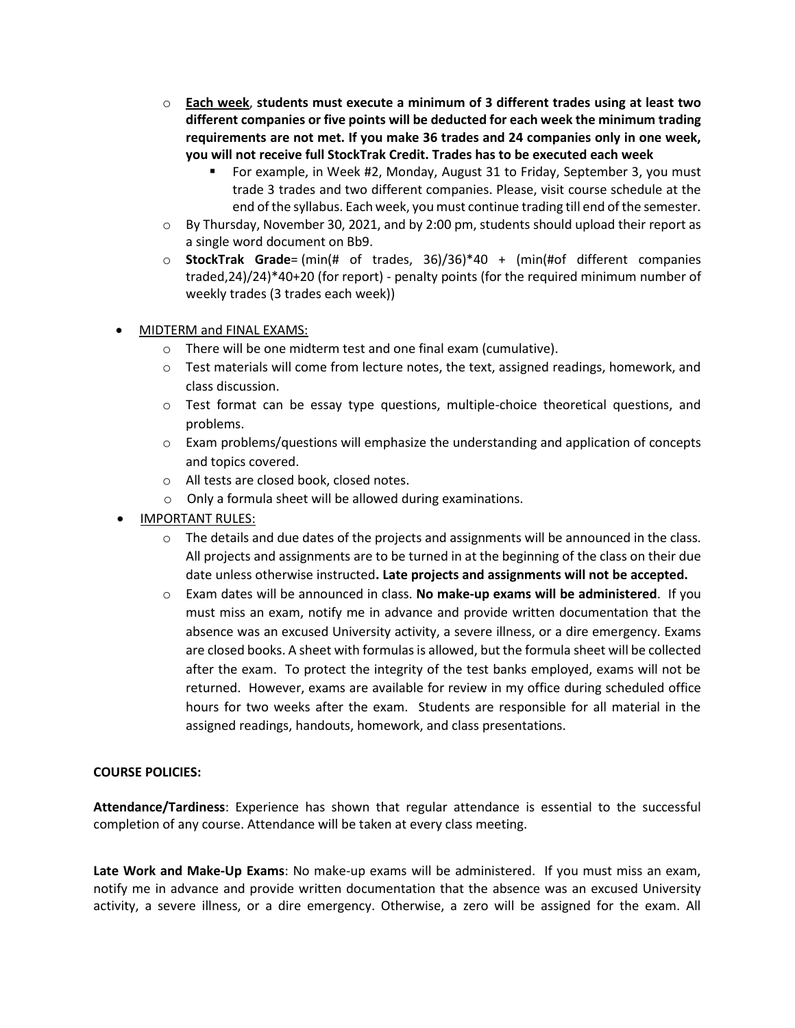- o **Each week**, **students must execute a minimum of 3 different trades using at least two different companies or five points will be deducted for each week the minimum trading requirements are not met. If you make 36 trades and 24 companies only in one week, you will not receive full StockTrak Credit. Trades has to be executed each week**
	- For example, in Week #2, Monday, August 31 to Friday, September 3, you must trade 3 trades and two different companies. Please, visit course schedule at the end of the syllabus. Each week, you must continue trading till end of the semester.
- $\circ$  By Thursday, November 30, 2021, and by 2:00 pm, students should upload their report as a single word document on Bb9.
- o **StockTrak Grade**= (min(# of trades, 36)/36)\*40 + (min(#of different companies traded,24)/24)\*40+20 (for report) - penalty points (for the required minimum number of weekly trades (3 trades each week))
- MIDTERM and FINAL EXAMS:
	- o There will be one midterm test and one final exam (cumulative).
	- o Test materials will come from lecture notes, the text, assigned readings, homework, and class discussion.
	- o Test format can be essay type questions, multiple-choice theoretical questions, and problems.
	- o Exam problems/questions will emphasize the understanding and application of concepts and topics covered.
	- o All tests are closed book, closed notes.
	- o Only a formula sheet will be allowed during examinations.
- IMPORTANT RULES:
	- $\circ$  The details and due dates of the projects and assignments will be announced in the class. All projects and assignments are to be turned in at the beginning of the class on their due date unless otherwise instructed**. Late projects and assignments will not be accepted.**
	- o Exam dates will be announced in class. **No make-up exams will be administered**. If you must miss an exam, notify me in advance and provide written documentation that the absence was an excused University activity, a severe illness, or a dire emergency. Exams are closed books. A sheet with formulas is allowed, but the formula sheet will be collected after the exam. To protect the integrity of the test banks employed, exams will not be returned. However, exams are available for review in my office during scheduled office hours for two weeks after the exam. Students are responsible for all material in the assigned readings, handouts, homework, and class presentations.

# **COURSE POLICIES:**

**Attendance/Tardiness**: Experience has shown that regular attendance is essential to the successful completion of any course. Attendance will be taken at every class meeting.

**Late Work and Make-Up Exams**: No make-up exams will be administered. If you must miss an exam, notify me in advance and provide written documentation that the absence was an excused University activity, a severe illness, or a dire emergency. Otherwise, a zero will be assigned for the exam. All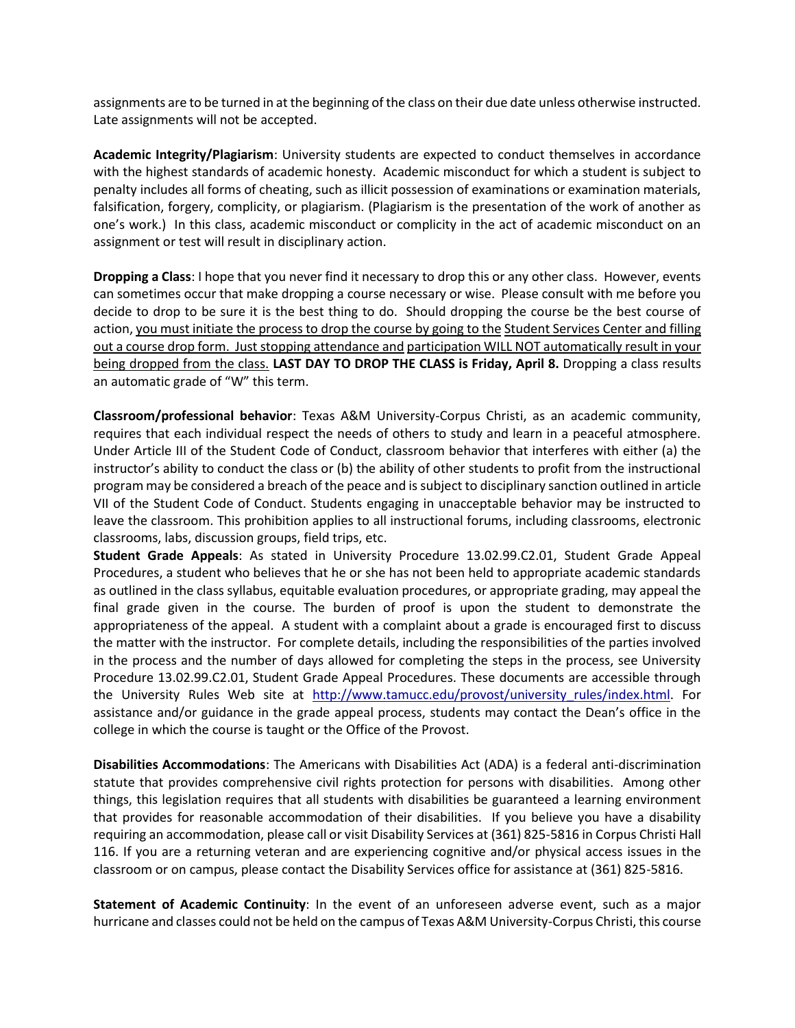assignments are to be turned in at the beginning of the class on their due date unless otherwise instructed. Late assignments will not be accepted.

**Academic Integrity/Plagiarism**: University students are expected to conduct themselves in accordance with the highest standards of academic honesty. Academic misconduct for which a student is subject to penalty includes all forms of cheating, such as illicit possession of examinations or examination materials, falsification, forgery, complicity, or plagiarism. (Plagiarism is the presentation of the work of another as one's work.) In this class, academic misconduct or complicity in the act of academic misconduct on an assignment or test will result in disciplinary action.

**Dropping a Class**: I hope that you never find it necessary to drop this or any other class. However, events can sometimes occur that make dropping a course necessary or wise. Please consult with me before you decide to drop to be sure it is the best thing to do. Should dropping the course be the best course of action, you must initiate the process to drop the course by going to the Student Services Center and filling out a course drop form. Just stopping attendance and participation WILL NOT automatically result in your being dropped from the class. **LAST DAY TO DROP THE CLASS is Friday, April 8.** Dropping a class results an automatic grade of "W" this term.

**Classroom/professional behavior**: Texas A&M University-Corpus Christi, as an academic community, requires that each individual respect the needs of others to study and learn in a peaceful atmosphere. Under Article III of the Student Code of Conduct, classroom behavior that interferes with either (a) the instructor's ability to conduct the class or (b) the ability of other students to profit from the instructional program may be considered a breach of the peace and is subject to disciplinary sanction outlined in article VII of the Student Code of Conduct. Students engaging in unacceptable behavior may be instructed to leave the classroom. This prohibition applies to all instructional forums, including classrooms, electronic classrooms, labs, discussion groups, field trips, etc.

**Student Grade Appeals**: As stated in University Procedure 13.02.99.C2.01, Student Grade Appeal Procedures, a student who believes that he or she has not been held to appropriate academic standards as outlined in the class syllabus, equitable evaluation procedures, or appropriate grading, may appeal the final grade given in the course. The burden of proof is upon the student to demonstrate the appropriateness of the appeal. A student with a complaint about a grade is encouraged first to discuss the matter with the instructor. For complete details, including the responsibilities of the parties involved in the process and the number of days allowed for completing the steps in the process, see University Procedure 13.02.99.C2.01, Student Grade Appeal Procedures. These documents are accessible through the University Rules Web site at [http://www.tamucc.edu/provost/university\\_rules/index.html.](http://www.tamucc.edu/provost/university_rules/index.html) For assistance and/or guidance in the grade appeal process, students may contact the Dean's office in the college in which the course is taught or the Office of the Provost.

**Disabilities Accommodations**: The Americans with Disabilities Act (ADA) is a federal anti-discrimination statute that provides comprehensive civil rights protection for persons with disabilities. Among other things, this legislation requires that all students with disabilities be guaranteed a learning environment that provides for reasonable accommodation of their disabilities. If you believe you have a disability requiring an accommodation, please call or visit Disability Services at (361) 825-5816 in Corpus Christi Hall 116. If you are a returning veteran and are experiencing cognitive and/or physical access issues in the classroom or on campus, please contact the Disability Services office for assistance at (361) 825-5816.

**Statement of Academic Continuity**: In the event of an unforeseen adverse event, such as a major hurricane and classes could not be held on the campus of Texas A&M University-Corpus Christi, this course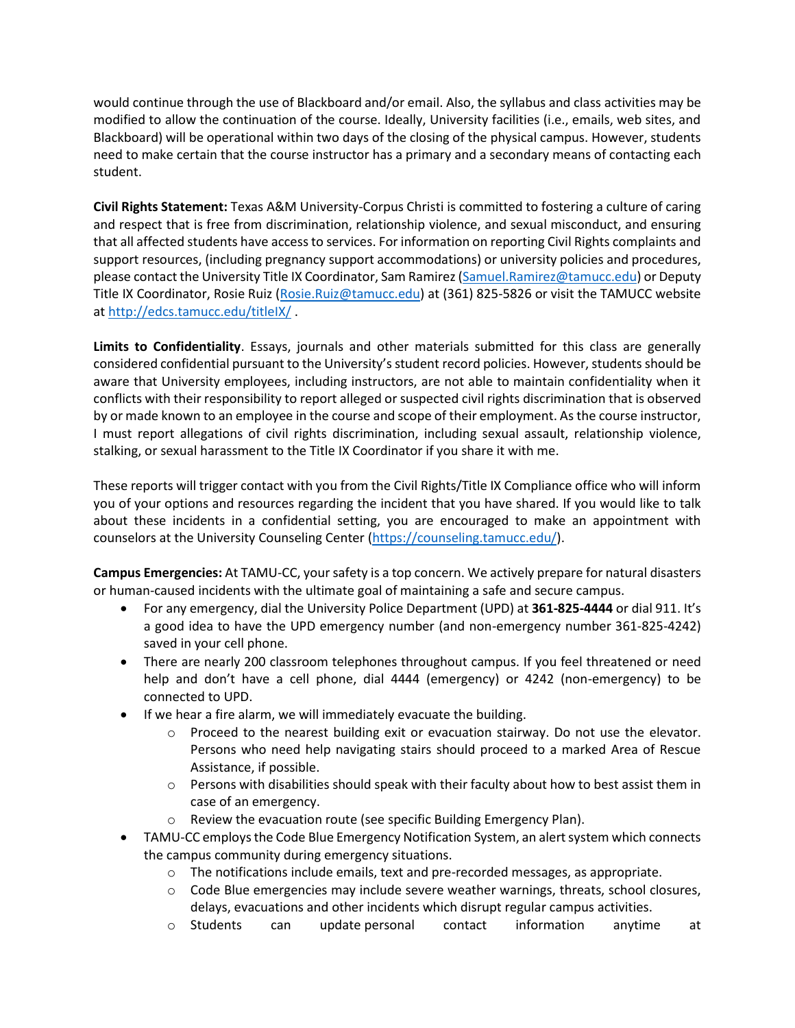would continue through the use of Blackboard and/or email. Also, the syllabus and class activities may be modified to allow the continuation of the course. Ideally, University facilities (i.e., emails, web sites, and Blackboard) will be operational within two days of the closing of the physical campus. However, students need to make certain that the course instructor has a primary and a secondary means of contacting each student.

**Civil Rights Statement:** Texas A&M University-Corpus Christi is committed to fostering a culture of caring and respect that is free from discrimination, relationship violence, and sexual misconduct, and ensuring that all affected students have access to services. For information on reporting Civil Rights complaints and support resources, (including pregnancy support accommodations) or university policies and procedures, please contact the University Title IX Coordinator, Sam Ramirez [\(Samuel.Ramirez@tamucc.edu\)](mailto:Samuel.Ramirez@tamucc.edu) or Deputy Title IX Coordinator, Rosie Ruiz [\(Rosie.Ruiz@tamucc.edu\)](mailto:Rosie.Ruiz@tamucc.edu) at (361) 825-5826 or visit the TAMUCC website a[t http://edcs.tamucc.edu/titleIX/](http://edcs.tamucc.edu/titleIX/) .

**Limits to Confidentiality**. Essays, journals and other materials submitted for this class are generally considered confidential pursuant to the University's student record policies. However, students should be aware that University employees, including instructors, are not able to maintain confidentiality when it conflicts with their responsibility to report alleged or suspected civil rights discrimination that is observed by or made known to an employee in the course and scope of their employment. As the course instructor, I must report allegations of civil rights discrimination, including sexual assault, relationship violence, stalking, or sexual harassment to the Title IX Coordinator if you share it with me.

These reports will trigger contact with you from the Civil Rights/Title IX Compliance office who will inform you of your options and resources regarding the incident that you have shared. If you would like to talk about these incidents in a confidential setting, you are encouraged to make an appointment with counselors at the University Counseling Center [\(https://counseling.tamucc.edu/\)](https://counseling.tamucc.edu/).

**Campus Emergencies:** At TAMU-CC, your safety is a top concern. We actively prepare for natural disasters or human-caused incidents with the ultimate goal of maintaining a safe and secure campus.

- For any emergency, dial the University Police Department (UPD) at **361-825-4444** or dial 911. It's a good idea to have the UPD emergency number (and non-emergency number 361-825-4242) saved in your cell phone.
- There are nearly 200 classroom telephones throughout campus. If you feel threatened or need help and don't have a cell phone, dial 4444 (emergency) or 4242 (non-emergency) to be connected to UPD.
- If we hear a fire alarm, we will immediately evacuate the building.
	- $\circ$  Proceed to the nearest building exit or evacuation stairway. Do not use the elevator. Persons who need help navigating stairs should proceed to a marked Area of Rescue Assistance, if possible.
	- $\circ$  Persons with disabilities should speak with their faculty about how to best assist them in case of an emergency.
	- o Review the evacuation route (see specific Building Emergency Plan).
- TAMU-CC employs the Code Blue Emergency Notification System, an alert system which connects the campus community during emergency situations.
	- $\circ$  The notifications include emails, text and pre-recorded messages, as appropriate.
	- o Code Blue emergencies may include severe weather warnings, threats, school closures, delays, evacuations and other incidents which disrupt regular campus activities.
	- o Students can update personal contact information anytime at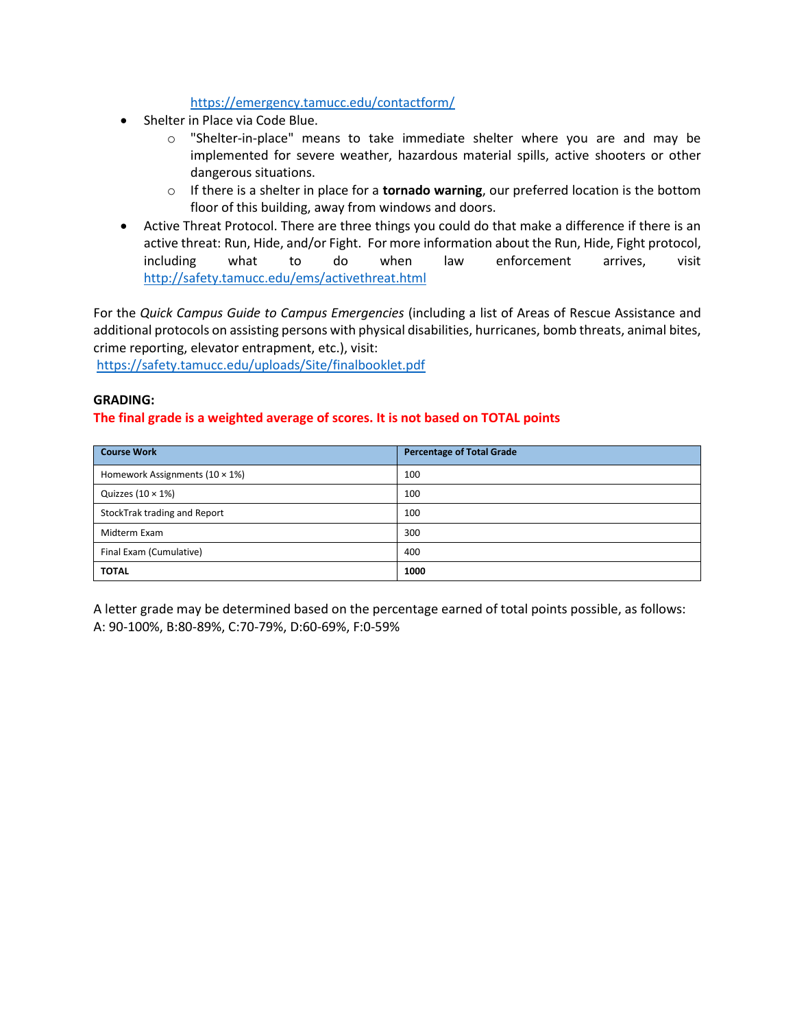# <https://emergency.tamucc.edu/contactform/>

- Shelter in Place via Code Blue.
	- o "Shelter-in-place" means to take immediate shelter where you are and may be implemented for severe weather, hazardous material spills, active shooters or other dangerous situations.
	- o If there is a shelter in place for a **tornado warning**, our preferred location is the bottom floor of this building, away from windows and doors.
- Active Threat Protocol. There are three things you could do that make a difference if there is an active threat: Run, Hide, and/or Fight. For more information about the Run, Hide, Fight protocol, including what to do when law enforcement arrives, visit <http://safety.tamucc.edu/ems/activethreat.html>

For the *Quick Campus Guide to Campus Emergencies* (including a list of Areas of Rescue Assistance and additional protocols on assisting persons with physical disabilities, hurricanes, bomb threats, animal bites, crime reporting, elevator entrapment, etc.), visit:

<https://safety.tamucc.edu/uploads/Site/finalbooklet.pdf>

#### **GRADING:**

# **The final grade is a weighted average of scores. It is not based on TOTAL points**

| <b>Course Work</b>                     | <b>Percentage of Total Grade</b> |  |
|----------------------------------------|----------------------------------|--|
| Homework Assignments $(10 \times 1\%)$ | 100                              |  |
| Quizzes $(10 \times 1\%)$              | 100                              |  |
| StockTrak trading and Report           | 100                              |  |
| Midterm Exam                           | 300                              |  |
| Final Exam (Cumulative)                | 400                              |  |
| <b>TOTAL</b>                           | 1000                             |  |

A letter grade may be determined based on the percentage earned of total points possible, as follows: A: 90-100%, B:80-89%, C:70-79%, D:60-69%, F:0-59%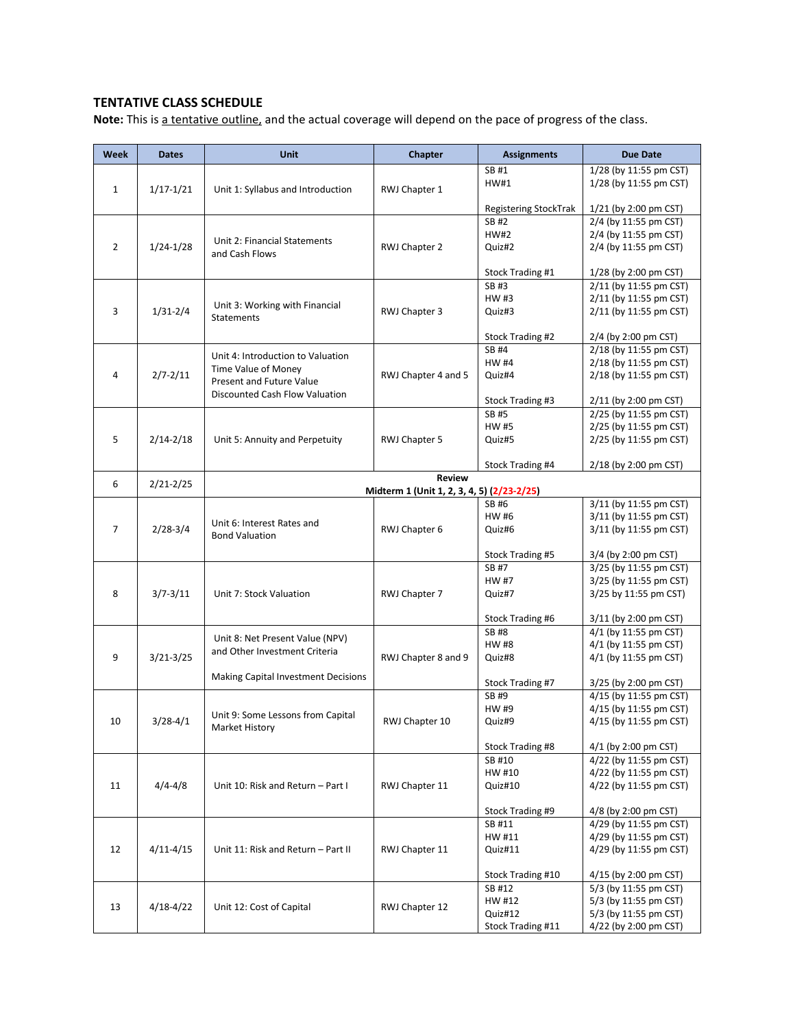# **TENTATIVE CLASS SCHEDULE**

**Note:** This is a tentative outline, and the actual coverage will depend on the pace of progress of the class.

| Week           | <b>Dates</b>  | Unit                                                                 | Chapter                                    | <b>Assignments</b>                     | <b>Due Date</b>                                  |
|----------------|---------------|----------------------------------------------------------------------|--------------------------------------------|----------------------------------------|--------------------------------------------------|
|                |               |                                                                      |                                            | SB #1                                  | 1/28 (by 11:55 pm CST)                           |
|                |               |                                                                      |                                            | HW#1                                   | 1/28 (by 11:55 pm CST)                           |
| 1              | $1/17 - 1/21$ | Unit 1: Syllabus and Introduction                                    | RWJ Chapter 1                              |                                        |                                                  |
|                |               |                                                                      |                                            | Registering StockTrak                  | 1/21 (by 2:00 pm CST)                            |
|                |               |                                                                      |                                            | SB #2                                  | 2/4 (by 11:55 pm CST)                            |
|                |               |                                                                      |                                            | <b>HW#2</b>                            | 2/4 (by 11:55 pm CST)                            |
| $\overline{2}$ | $1/24 - 1/28$ | Unit 2: Financial Statements                                         | RWJ Chapter 2                              | Quiz#2                                 | 2/4 (by 11:55 pm CST)                            |
|                |               | and Cash Flows                                                       |                                            |                                        |                                                  |
|                |               |                                                                      |                                            | Stock Trading #1                       | 1/28 (by 2:00 pm CST)                            |
| 3              |               |                                                                      |                                            | SB #3                                  | 2/11 (by 11:55 pm CST)                           |
|                | $1/31 - 2/4$  | Unit 3: Working with Financial<br><b>Statements</b>                  | RWJ Chapter 3                              | HW #3                                  | 2/11 (by 11:55 pm CST)                           |
|                |               |                                                                      |                                            | Quiz#3                                 | 2/11 (by 11:55 pm CST)                           |
|                |               |                                                                      |                                            |                                        |                                                  |
|                |               |                                                                      |                                            | Stock Trading #2                       | 2/4 (by 2:00 pm CST)                             |
|                |               | Unit 4: Introduction to Valuation<br>Time Value of Money             | RWJ Chapter 4 and 5                        | <b>SB#4</b>                            | 2/18 (by 11:55 pm CST)                           |
| 4              |               |                                                                      |                                            | <b>HW #4</b>                           | 2/18 (by 11:55 pm CST)                           |
|                | $2/7 - 2/11$  | Present and Future Value                                             |                                            | Quiz#4                                 | 2/18 (by 11:55 pm CST)                           |
|                |               | Discounted Cash Flow Valuation                                       |                                            | Stock Trading #3                       | 2/11 (by 2:00 pm CST)                            |
|                |               |                                                                      |                                            | SB #5                                  | 2/25 (by 11:55 pm CST)                           |
|                |               |                                                                      |                                            | HW #5                                  | 2/25 (by 11:55 pm CST)                           |
| 5              | $2/14 - 2/18$ | Unit 5: Annuity and Perpetuity                                       | RWJ Chapter 5                              | Quiz#5                                 | 2/25 (by 11:55 pm CST)                           |
|                |               |                                                                      |                                            |                                        |                                                  |
|                |               |                                                                      |                                            | Stock Trading #4                       | 2/18 (by 2:00 pm CST)                            |
|                |               |                                                                      | <b>Review</b>                              |                                        |                                                  |
| 6              | $2/21 - 2/25$ |                                                                      | Midterm 1 (Unit 1, 2, 3, 4, 5) (2/23-2/25) |                                        |                                                  |
|                |               |                                                                      |                                            | SB #6                                  | 3/11 (by 11:55 pm CST)                           |
|                | $2/28-3/4$    |                                                                      |                                            | HW #6                                  | 3/11 (by 11:55 pm CST)                           |
| $\overline{7}$ |               | Unit 6: Interest Rates and<br><b>Bond Valuation</b>                  | RWJ Chapter 6                              | Quiz#6                                 | 3/11 (by 11:55 pm CST)                           |
|                |               |                                                                      |                                            |                                        |                                                  |
|                |               |                                                                      |                                            | Stock Trading #5                       | 3/4 (by 2:00 pm CST)                             |
|                | $3/7 - 3/11$  | Unit 7: Stock Valuation                                              | RWJ Chapter 7                              | SB #7                                  | 3/25 (by 11:55 pm CST)                           |
|                |               |                                                                      |                                            | HW #7                                  | 3/25 (by 11:55 pm CST)                           |
| 8              |               |                                                                      |                                            | Quiz#7                                 | 3/25 by 11:55 pm CST)                            |
|                |               |                                                                      |                                            |                                        |                                                  |
|                |               |                                                                      |                                            | <b>Stock Trading #6</b><br><b>SB#8</b> | 3/11 (by 2:00 pm CST)<br>4/1 (by 11:55 pm CST)   |
|                |               | Unit 8: Net Present Value (NPV)                                      |                                            | <b>HW#8</b>                            | 4/1 (by 11:55 pm CST)                            |
| 9              | $3/21 - 3/25$ | and Other Investment Criteria<br>Making Capital Investment Decisions | RWJ Chapter 8 and 9                        | Quiz#8                                 | 4/1 (by 11:55 pm CST)                            |
|                |               |                                                                      |                                            |                                        |                                                  |
|                |               |                                                                      |                                            | Stock Trading #7                       | 3/25 (by 2:00 pm CST)                            |
|                | $3/28 - 4/1$  | Unit 9: Some Lessons from Capital<br>Market History                  | RWJ Chapter 10                             | SB #9                                  | 4/15 (by 11:55 pm CST)                           |
|                |               |                                                                      |                                            | HW #9                                  | 4/15 (by 11:55 pm CST)                           |
| 10             |               |                                                                      |                                            | Quiz#9                                 | 4/15 (by 11:55 pm CST)                           |
|                |               |                                                                      |                                            |                                        |                                                  |
|                |               |                                                                      |                                            | Stock Trading #8                       | 4/1 (by 2:00 pm CST)                             |
| 11             | $4/4 - 4/8$   | Unit 10: Risk and Return - Part I                                    | RWJ Chapter 11                             | SB #10                                 | 4/22 (by 11:55 pm CST)                           |
|                |               |                                                                      |                                            | HW #10                                 | 4/22 (by 11:55 pm CST)                           |
|                |               |                                                                      |                                            | Quiz#10                                | 4/22 (by 11:55 pm CST)                           |
|                |               |                                                                      |                                            |                                        |                                                  |
|                |               |                                                                      |                                            | Stock Trading #9                       | 4/8 (by 2:00 pm CST)                             |
|                |               |                                                                      |                                            | SB #11                                 | 4/29 (by 11:55 pm CST)<br>4/29 (by 11:55 pm CST) |
| 12             |               |                                                                      |                                            | HW #11                                 | 4/29 (by 11:55 pm CST)                           |
|                | $4/11 - 4/15$ | Unit 11: Risk and Return - Part II                                   | RWJ Chapter 11                             | Quiz#11                                |                                                  |
|                |               |                                                                      |                                            | Stock Trading #10                      | 4/15 (by 2:00 pm CST)                            |
| 13             |               |                                                                      |                                            | SB #12                                 | 5/3 (by 11:55 pm CST)                            |
|                |               |                                                                      |                                            | HW #12                                 | 5/3 (by 11:55 pm CST)                            |
|                | 4/18-4/22     | Unit 12: Cost of Capital                                             | RWJ Chapter 12                             | Quiz#12                                | 5/3 (by 11:55 pm CST)                            |
|                |               |                                                                      |                                            | Stock Trading #11                      | 4/22 (by 2:00 pm CST)                            |